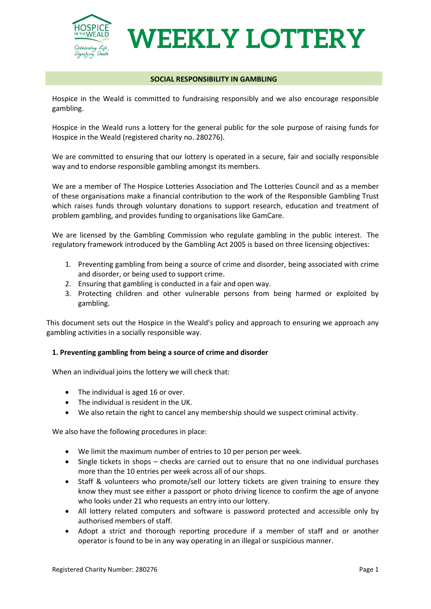

# **WEEKLY LOTTERY**

#### **SOCIAL RESPONSIBILITY IN GAMBLING**

Hospice in the Weald is committed to fundraising responsibly and we also encourage responsible gambling.

Hospice in the Weald runs a lottery for the general public for the sole purpose of raising funds for Hospice in the Weald (registered charity no. 280276).

We are committed to ensuring that our lottery is operated in a secure, fair and socially responsible way and to endorse responsible gambling amongst its members.

We are a member of The Hospice [Lotteries Association](http://www.hospicelotteries.org.uk/) and [The Lotteries Council](http://www.lotteriescouncil.org.uk/) and as a member of these organisations make a financial contribution to the work of the [Responsible Gambling Trust](http://www.responsiblegamblingtrust.org.uk/)  [which](http://www.responsiblegamblingtrust.org.uk/) raises funds through voluntary donations to support research, education and treatment of problem gambling, and provides funding to organisations like GamCare.

We are licensed by the [Gambling Commission](http://www.gamblingcommission.gov.uk/) who regulate gambling in the public interest. The regulatory framework introduced by the Gambling Act 2005 is based on three licensing objectives:

- 1. Preventing gambling from being a source of crime and disorder, being associated with crime and disorder, or being used to support crime.
- 2. Ensuring that gambling is conducted in a fair and open way.
- 3. Protecting children and other vulnerable persons from being harmed or exploited by gambling.

This document sets out the Hospice in the Weald's policy and approach to ensuring we approach any gambling activities in a socially responsible way.

#### **1. Preventing gambling from being a source of crime and disorder**

When an individual joins the lottery we will check that:

- The individual is aged 16 or over.
- The individual is resident in the UK.
- We also retain the right to cancel any membership should we suspect criminal activity.

We also have the following procedures in place:

- We limit the maximum number of entries to 10 per person per week.
- Single tickets in shops checks are carried out to ensure that no one individual purchases more than the 10 entries per week across all of our shops.
- Staff & volunteers who promote/sell our lottery tickets are given training to ensure they know they must see either a passport or photo driving licence to confirm the age of anyone who looks under 21 who requests an entry into our lottery.
- All lottery related computers and software is password protected and accessible only by authorised members of staff.
- Adopt a strict and thorough reporting procedure if a member of staff and or another operator is found to be in any way operating in an illegal or suspicious manner.